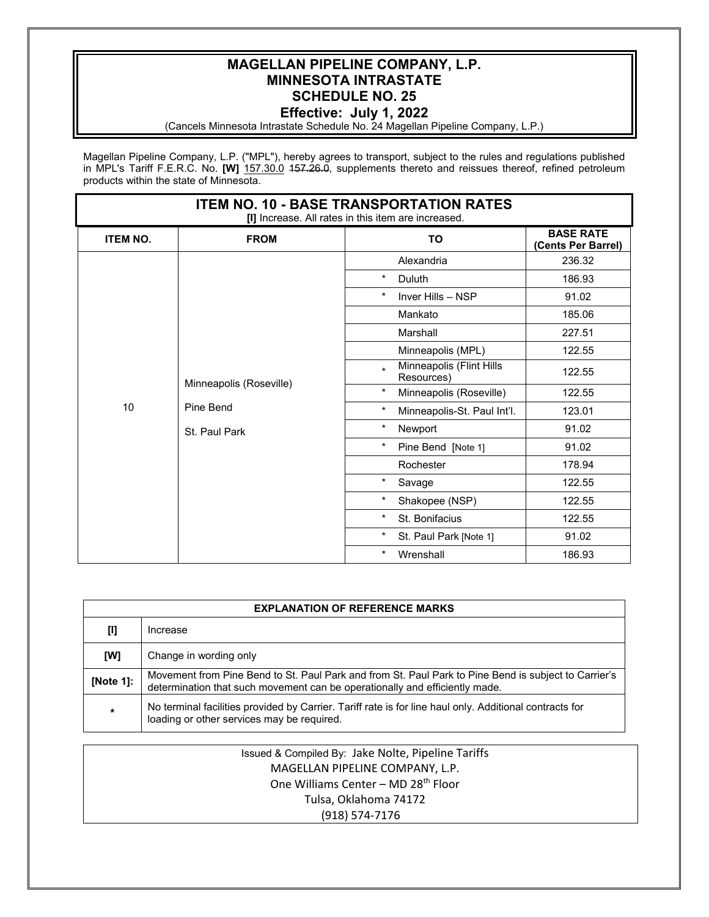## **MAGELLAN PIPELINE COMPANY, L.P. MINNESOTA INTRASTATE SCHEDULE NO. 25 Effective: July 1, 2022**

### (Cancels Minnesota Intrastate Schedule No. 24 Magellan Pipeline Company, L.P.)

Magellan Pipeline Company, L.P. ("MPL"), hereby agrees to transport, subject to the rules and regulations published in MPL's Tariff F.E.R.C. No. **[W]** 157.30.0 157.26.0, supplements thereto and reissues thereof, refined petroleum products within the state of Minnesota.

| <b>ITEM NO. 10 - BASE TRANSPORTATION RATES</b><br>[I] Increase. All rates in this item are increased. |                                                       |                                                   |                                        |  |  |
|-------------------------------------------------------------------------------------------------------|-------------------------------------------------------|---------------------------------------------------|----------------------------------------|--|--|
| <b>ITEM NO.</b>                                                                                       | <b>FROM</b>                                           | <b>TO</b>                                         | <b>BASE RATE</b><br>(Cents Per Barrel) |  |  |
|                                                                                                       | Minneapolis (Roseville)<br>Pine Bend<br>St. Paul Park | Alexandria                                        | 236.32                                 |  |  |
|                                                                                                       |                                                       | $^\star$<br>Duluth                                | 186.93                                 |  |  |
|                                                                                                       |                                                       | $\ast$<br>Inver Hills - NSP                       | 91.02                                  |  |  |
|                                                                                                       |                                                       | Mankato                                           | 185.06                                 |  |  |
|                                                                                                       |                                                       | Marshall                                          | 227.51                                 |  |  |
|                                                                                                       |                                                       | Minneapolis (MPL)                                 | 122.55                                 |  |  |
|                                                                                                       |                                                       | Minneapolis (Flint Hills<br>$\star$<br>Resources) | 122.55                                 |  |  |
|                                                                                                       |                                                       | $\ast$<br>Minneapolis (Roseville)                 | 122.55                                 |  |  |
| 10                                                                                                    |                                                       | $^\star$<br>Minneapolis-St. Paul Int'l.           | 123.01                                 |  |  |
|                                                                                                       |                                                       | $\ast$<br>Newport                                 | 91.02                                  |  |  |
|                                                                                                       |                                                       | $^\star$<br>Pine Bend [Note 1]                    | 91.02                                  |  |  |
|                                                                                                       |                                                       | Rochester                                         | 178.94                                 |  |  |
|                                                                                                       |                                                       | $\ast$<br>Savage                                  | 122.55                                 |  |  |
|                                                                                                       |                                                       | $^\ast$<br>Shakopee (NSP)                         | 122.55                                 |  |  |
|                                                                                                       |                                                       | $^\star$<br>St. Bonifacius                        | 122.55                                 |  |  |
|                                                                                                       |                                                       | $^\star$<br>St. Paul Park [Note 1]                | 91.02                                  |  |  |
|                                                                                                       |                                                       | $\ast$<br>Wrenshall                               | 186.93                                 |  |  |

| <b>EXPLANATION OF REFERENCE MARKS</b> |                                                                                                                                                                                     |  |  |
|---------------------------------------|-------------------------------------------------------------------------------------------------------------------------------------------------------------------------------------|--|--|
| [I]                                   | Increase                                                                                                                                                                            |  |  |
| [W]                                   | Change in wording only                                                                                                                                                              |  |  |
| [Note 1]:                             | Movement from Pine Bend to St. Paul Park and from St. Paul Park to Pine Bend is subject to Carrier's<br>determination that such movement can be operationally and efficiently made. |  |  |
| $\star$                               | No terminal facilities provided by Carrier. Tariff rate is for line haul only. Additional contracts for<br>loading or other services may be required.                               |  |  |

| Issued & Compiled By: Jake Nolte, Pipeline Tariffs |  |
|----------------------------------------------------|--|
| MAGELLAN PIPELINE COMPANY, L.P.                    |  |
| One Williams Center - MD 28 <sup>th</sup> Floor    |  |
| Tulsa, Oklahoma 74172                              |  |
| (918) 574-7176                                     |  |
|                                                    |  |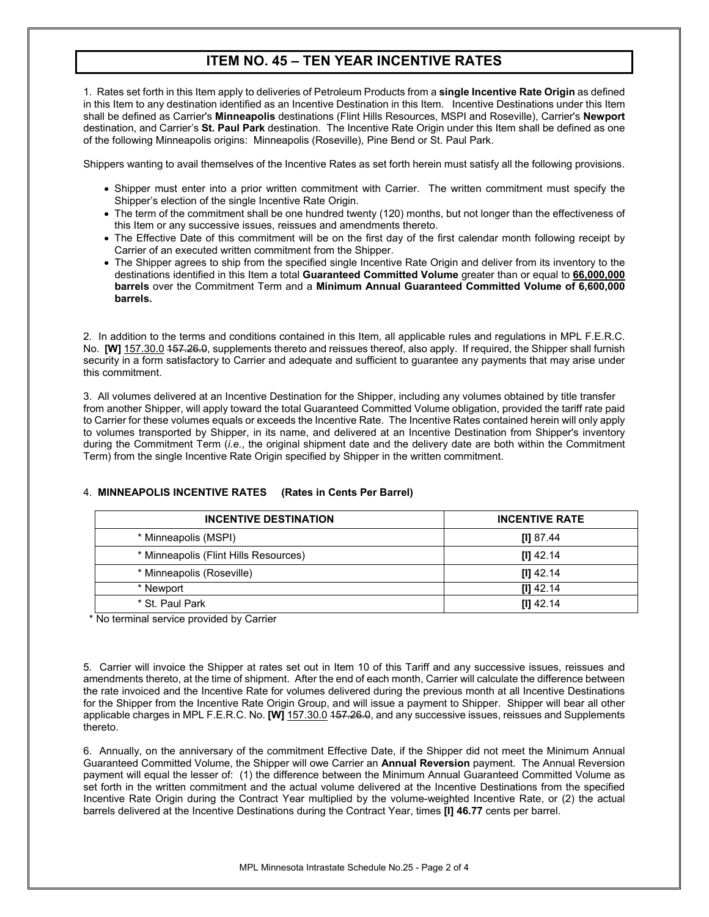# **ITEM NO. 45 – TEN YEAR INCENTIVE RATES**

1. Rates set forth in this Item apply to deliveries of Petroleum Products from a **single Incentive Rate Origin** as defined in this Item to any destination identified as an Incentive Destination in this Item. Incentive Destinations under this Item shall be defined as Carrier's **Minneapolis** destinations (Flint Hills Resources, MSPI and Roseville), Carrier's **Newport** destination, and Carrier's **St. Paul Park** destination. The Incentive Rate Origin under this Item shall be defined as one of the following Minneapolis origins: Minneapolis (Roseville), Pine Bend or St. Paul Park.

Shippers wanting to avail themselves of the Incentive Rates as set forth herein must satisfy all the following provisions.

- Shipper must enter into a prior written commitment with Carrier. The written commitment must specify the Shipper's election of the single Incentive Rate Origin.
- The term of the commitment shall be one hundred twenty (120) months, but not longer than the effectiveness of this Item or any successive issues, reissues and amendments thereto.
- The Effective Date of this commitment will be on the first day of the first calendar month following receipt by Carrier of an executed written commitment from the Shipper.
- The Shipper agrees to ship from the specified single Incentive Rate Origin and deliver from its inventory to the destinations identified in this Item a total **Guaranteed Committed Volume** greater than or equal to **66,000,000 barrels** over the Commitment Term and a **Minimum Annual Guaranteed Committed Volume of 6,600,000 barrels.**

2. In addition to the terms and conditions contained in this Item, all applicable rules and regulations in MPL F.E.R.C. No. **[W]** 157.30.0 157.26.0, supplements thereto and reissues thereof, also apply. If required, the Shipper shall furnish security in a form satisfactory to Carrier and adequate and sufficient to guarantee any payments that may arise under this commitment.

3. All volumes delivered at an Incentive Destination for the Shipper, including any volumes obtained by title transfer from another Shipper, will apply toward the total Guaranteed Committed Volume obligation, provided the tariff rate paid to Carrier for these volumes equals or exceeds the Incentive Rate. The Incentive Rates contained herein will only apply to volumes transported by Shipper, in its name, and delivered at an Incentive Destination from Shipper's inventory during the Commitment Term (*i.e.*, the original shipment date and the delivery date are both within the Commitment Term) from the single Incentive Rate Origin specified by Shipper in the written commitment.

| <b>INCENTIVE DESTINATION</b>          | <b>INCENTIVE RATE</b> |
|---------------------------------------|-----------------------|
| * Minneapolis (MSPI)                  | [I] $87.44$           |
| * Minneapolis (Flint Hills Resources) | $[1]$ 42.14           |
| * Minneapolis (Roseville)             | $[1]$ 42.14           |
| * Newport                             | $III$ 42.14           |
| * St. Paul Park                       | $[1]$ 42.14           |

#### 4. **MINNEAPOLIS INCENTIVE RATES (Rates in Cents Per Barrel)**

\* No terminal service provided by Carrier

5. Carrier will invoice the Shipper at rates set out in Item 10 of this Tariff and any successive issues, reissues and amendments thereto, at the time of shipment. After the end of each month, Carrier will calculate the difference between the rate invoiced and the Incentive Rate for volumes delivered during the previous month at all Incentive Destinations for the Shipper from the Incentive Rate Origin Group, and will issue a payment to Shipper. Shipper will bear all other applicable charges in MPL F.E.R.C. No. **[W]** 157.30.0 157.26.0, and any successive issues, reissues and Supplements thereto.

6. Annually, on the anniversary of the commitment Effective Date, if the Shipper did not meet the Minimum Annual Guaranteed Committed Volume, the Shipper will owe Carrier an **Annual Reversion** payment. The Annual Reversion payment will equal the lesser of: (1) the difference between the Minimum Annual Guaranteed Committed Volume as set forth in the written commitment and the actual volume delivered at the Incentive Destinations from the specified Incentive Rate Origin during the Contract Year multiplied by the volume-weighted Incentive Rate, or (2) the actual barrels delivered at the Incentive Destinations during the Contract Year, times **[I] 46.77** cents per barrel.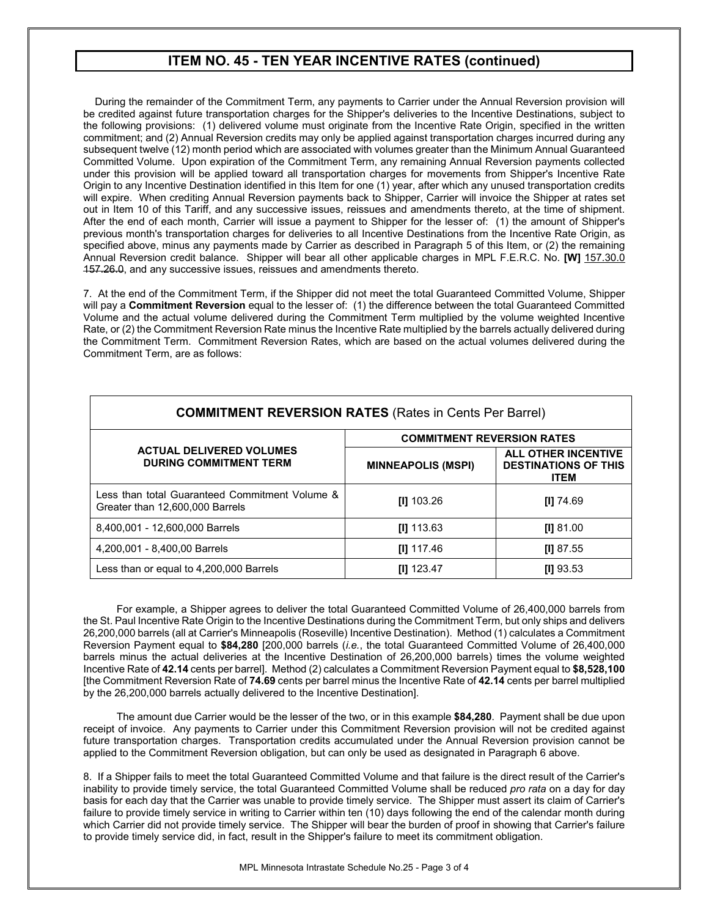### **ITEM NO. 45 - TEN YEAR INCENTIVE RATES (continued)**

 During the remainder of the Commitment Term, any payments to Carrier under the Annual Reversion provision will be credited against future transportation charges for the Shipper's deliveries to the Incentive Destinations, subject to the following provisions: (1) delivered volume must originate from the Incentive Rate Origin, specified in the written commitment; and (2) Annual Reversion credits may only be applied against transportation charges incurred during any subsequent twelve (12) month period which are associated with volumes greater than the Minimum Annual Guaranteed Committed Volume. Upon expiration of the Commitment Term, any remaining Annual Reversion payments collected under this provision will be applied toward all transportation charges for movements from Shipper's Incentive Rate Origin to any Incentive Destination identified in this Item for one (1) year, after which any unused transportation credits will expire. When crediting Annual Reversion payments back to Shipper, Carrier will invoice the Shipper at rates set out in Item 10 of this Tariff, and any successive issues, reissues and amendments thereto, at the time of shipment. After the end of each month, Carrier will issue a payment to Shipper for the lesser of: (1) the amount of Shipper's previous month's transportation charges for deliveries to all Incentive Destinations from the Incentive Rate Origin, as specified above, minus any payments made by Carrier as described in Paragraph 5 of this Item, or (2) the remaining Annual Reversion credit balance. Shipper will bear all other applicable charges in MPL F.E.R.C. No. **[W]** 157.30.0 157.26.0, and any successive issues, reissues and amendments thereto.

7. At the end of the Commitment Term, if the Shipper did not meet the total Guaranteed Committed Volume, Shipper will pay a **Commitment Reversion** equal to the lesser of: (1) the difference between the total Guaranteed Committed Volume and the actual volume delivered during the Commitment Term multiplied by the volume weighted Incentive Rate, or (2) the Commitment Reversion Rate minus the Incentive Rate multiplied by the barrels actually delivered during the Commitment Term. Commitment Reversion Rates, which are based on the actual volumes delivered during the Commitment Term, are as follows:

| <b>COMMITMENT REVERSION RATES (Rates in Cents Per Barrel)</b>                     |                                   |                                                                          |  |  |  |
|-----------------------------------------------------------------------------------|-----------------------------------|--------------------------------------------------------------------------|--|--|--|
|                                                                                   | <b>COMMITMENT REVERSION RATES</b> |                                                                          |  |  |  |
| <b>ACTUAL DELIVERED VOLUMES</b><br><b>DURING COMMITMENT TERM</b>                  | <b>MINNEAPOLIS (MSPI)</b>         | <b>ALL OTHER INCENTIVE</b><br><b>DESTINATIONS OF THIS</b><br><b>ITEM</b> |  |  |  |
| Less than total Guaranteed Commitment Volume &<br>Greater than 12,600,000 Barrels | $[1]$ 103.26                      | $III$ 74.69                                                              |  |  |  |
| 8,400,001 - 12,600,000 Barrels                                                    | $[1]$ 113.63                      | [1] 81.00                                                                |  |  |  |
| 4,200,001 - 8,400,00 Barrels                                                      | $III$ 117.46                      | $III$ 87.55                                                              |  |  |  |
| Less than or equal to 4,200,000 Barrels                                           | $[1]$ 123.47                      | $[1]$ 93.53                                                              |  |  |  |

For example, a Shipper agrees to deliver the total Guaranteed Committed Volume of 26,400,000 barrels from the St. Paul Incentive Rate Origin to the Incentive Destinations during the Commitment Term, but only ships and delivers 26,200,000 barrels (all at Carrier's Minneapolis (Roseville) Incentive Destination). Method (1) calculates a Commitment Reversion Payment equal to **\$84,280** [200,000 barrels (*i.e.*, the total Guaranteed Committed Volume of 26,400,000 barrels minus the actual deliveries at the Incentive Destination of 26,200,000 barrels) times the volume weighted Incentive Rate of **42.14** cents per barrel]. Method (2) calculates a Commitment Reversion Payment equal to **\$8,528,100** [the Commitment Reversion Rate of **74.69** cents per barrel minus the Incentive Rate of **42.14** cents per barrel multiplied by the 26,200,000 barrels actually delivered to the Incentive Destination].

The amount due Carrier would be the lesser of the two, or in this example **\$84,280**. Payment shall be due upon receipt of invoice. Any payments to Carrier under this Commitment Reversion provision will not be credited against future transportation charges. Transportation credits accumulated under the Annual Reversion provision cannot be applied to the Commitment Reversion obligation, but can only be used as designated in Paragraph 6 above.

8. If a Shipper fails to meet the total Guaranteed Committed Volume and that failure is the direct result of the Carrier's inability to provide timely service, the total Guaranteed Committed Volume shall be reduced *pro rata* on a day for day basis for each day that the Carrier was unable to provide timely service. The Shipper must assert its claim of Carrier's failure to provide timely service in writing to Carrier within ten (10) days following the end of the calendar month during which Carrier did not provide timely service. The Shipper will bear the burden of proof in showing that Carrier's failure to provide timely service did, in fact, result in the Shipper's failure to meet its commitment obligation.